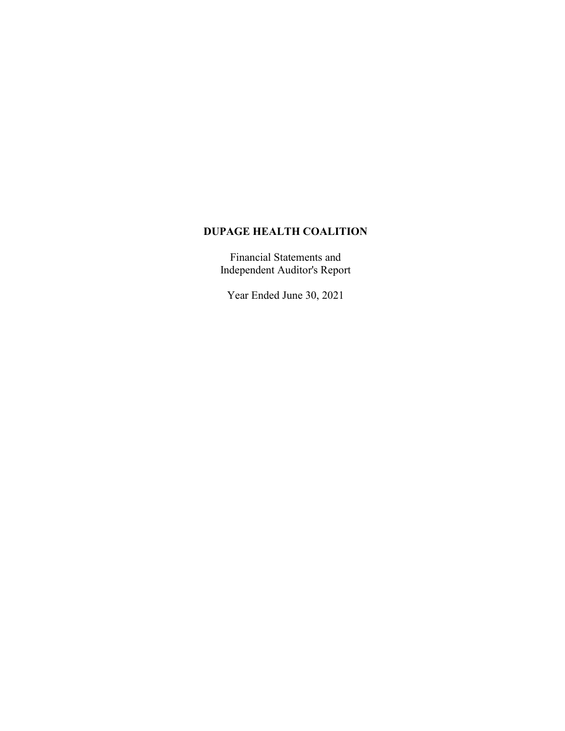Financial Statements and Independent Auditor's Report

Year Ended June 30, 2021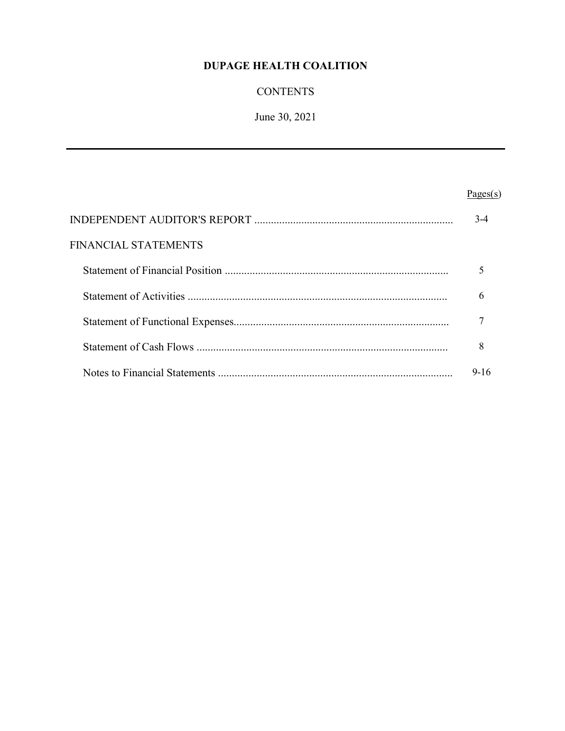# **CONTENTS**

# June 30, 2021

|                      | Pages(s) |
|----------------------|----------|
|                      | $3-4$    |
| FINANCIAL STATEMENTS |          |
|                      |          |
|                      | 6        |
|                      |          |
|                      | 8        |
|                      | $9 - 16$ |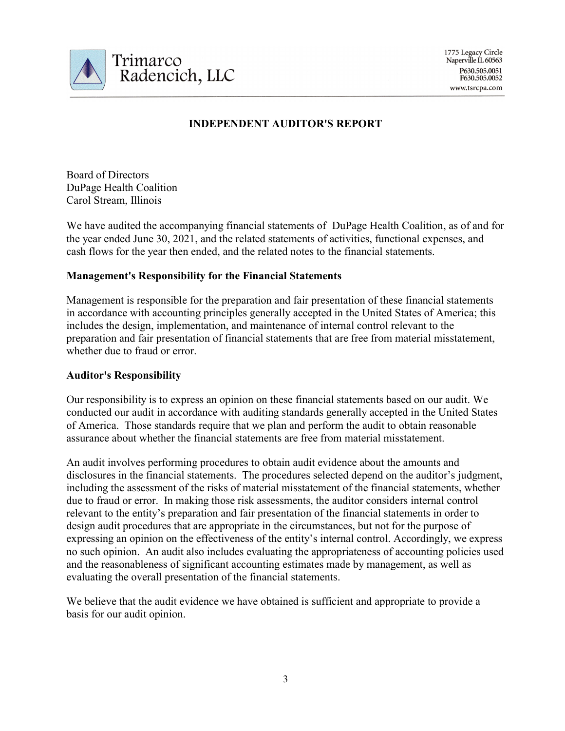

# INDEPENDENT AUDITOR'S REPORT

Board of Directors DuPage Health Coalition Carol Stream, Illinois

We have audited the accompanying financial statements of DuPage Health Coalition, as of and for the year ended June 30, 2021, and the related statements of activities, functional expenses, and cash flows for the year then ended, and the related notes to the financial statements.

# Management's Responsibility for the Financial Statements

Management is responsible for the preparation and fair presentation of these financial statements in accordance with accounting principles generally accepted in the United States of America; this includes the design, implementation, and maintenance of internal control relevant to the preparation and fair presentation of financial statements that are free from material misstatement, whether due to fraud or error.

## Auditor's Responsibility

Our responsibility is to express an opinion on these financial statements based on our audit. We conducted our audit in accordance with auditing standards generally accepted in the United States of America. Those standards require that we plan and perform the audit to obtain reasonable assurance about whether the financial statements are free from material misstatement.

An audit involves performing procedures to obtain audit evidence about the amounts and disclosures in the financial statements. The procedures selected depend on the auditor's judgment, including the assessment of the risks of material misstatement of the financial statements, whether due to fraud or error. In making those risk assessments, the auditor considers internal control relevant to the entity's preparation and fair presentation of the financial statements in order to design audit procedures that are appropriate in the circumstances, but not for the purpose of expressing an opinion on the effectiveness of the entity's internal control. Accordingly, we express no such opinion. An audit also includes evaluating the appropriateness of accounting policies used and the reasonableness of significant accounting estimates made by management, as well as evaluating the overall presentation of the financial statements.

We believe that the audit evidence we have obtained is sufficient and appropriate to provide a basis for our audit opinion.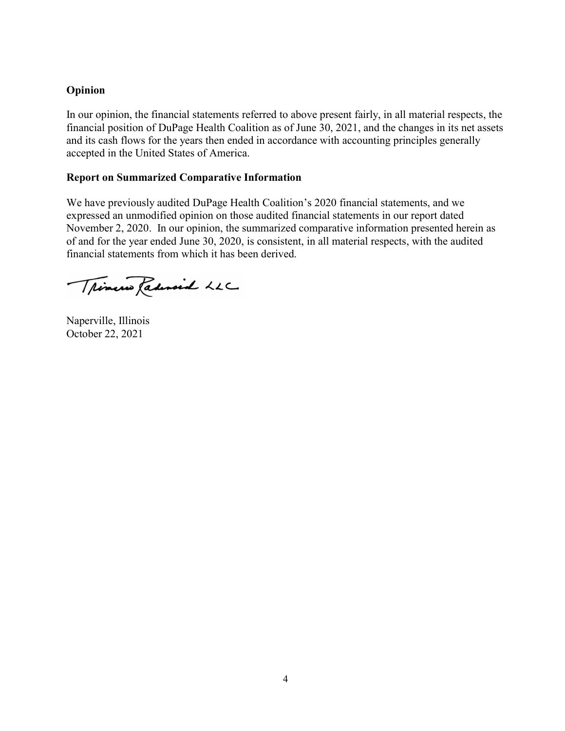# Opinion

In our opinion, the financial statements referred to above present fairly, in all material respects, the financial position of DuPage Health Coalition as of June 30, 2021, and the changes in its net assets and its cash flows for the years then ended in accordance with accounting principles generally accepted in the United States of America.

# Report on Summarized Comparative Information

We have previously audited DuPage Health Coalition's 2020 financial statements, and we expressed an unmodified opinion on those audited financial statements in our report dated November 2, 2020. In our opinion, the summarized comparative information presented herein as of and for the year ended June 30, 2020, is consistent, in all material respects, with the audited financial statements from which it has been derived.

Trimero Radenand LLC

Naperville, Illinois October 22, 2021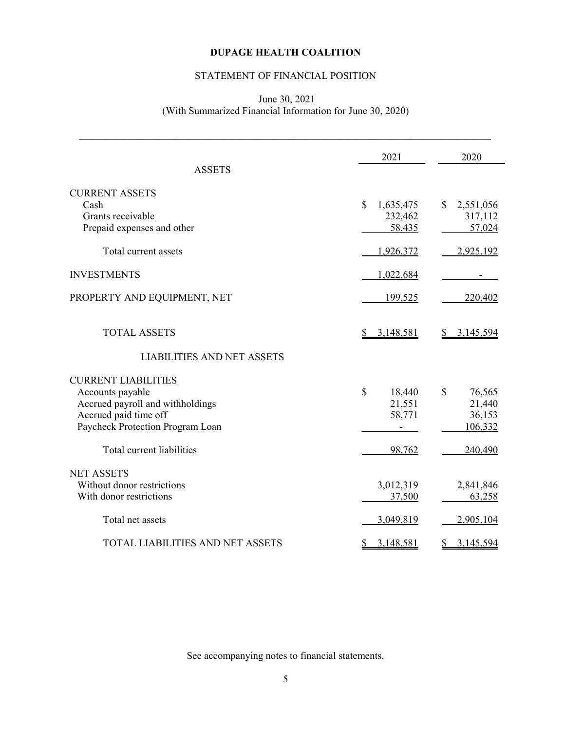# STATEMENT OF FINANCIAL POSITION

#### June 30, 2021 (With Summarized Financial Information for June 30, 2020)

|                                   | 2021                        | 2020                   |
|-----------------------------------|-----------------------------|------------------------|
| <b>ASSETS</b>                     |                             |                        |
| <b>CURRENT ASSETS</b>             |                             |                        |
| Cash                              | $\mathbb{S}$<br>1,635,475   | \$<br>2,551,056        |
| Grants receivable                 | 232,462                     | 317,112                |
| Prepaid expenses and other        | 58,435                      | 57,024                 |
| Total current assets              | 1,926,372                   | 2,925,192              |
| <b>INVESTMENTS</b>                | 1,022,684                   |                        |
| PROPERTY AND EQUIPMENT, NET       | 199,525                     | 220,402                |
| <b>TOTAL ASSETS</b>               | 3,148,581<br>\$             | 3,145,594<br>\$        |
| <b>LIABILITIES AND NET ASSETS</b> |                             |                        |
| <b>CURRENT LIABILITIES</b>        |                             |                        |
| Accounts payable                  | $\mathbb{S}$<br>18,440      | $\mathbb{S}$<br>76,565 |
| Accrued payroll and withholdings  | 21,551                      | 21,440                 |
| Accrued paid time off             | 58,771                      | 36,153                 |
| Paycheck Protection Program Loan  |                             | 106,332                |
| Total current liabilities         | 98,762                      | 240,490                |
| <b>NET ASSETS</b>                 |                             |                        |
| Without donor restrictions        | 3,012,319                   | 2,841,846              |
| With donor restrictions           | 37,500                      | 63,258                 |
| Total net assets                  | 3,049,819                   | 2,905,104              |
| TOTAL LIABILITIES AND NET ASSETS  | 3,148,581<br>$\overline{2}$ | \$<br>3,145,594        |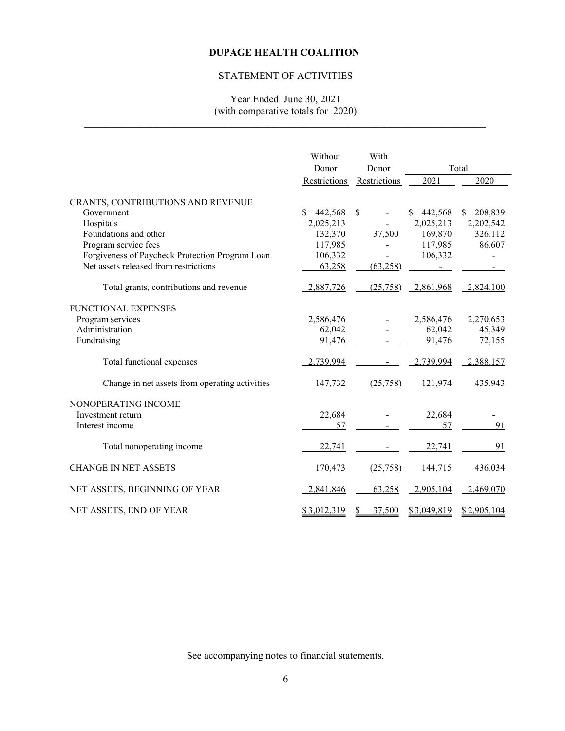# STATEMENT OF ACTIVITIES

#### Year Ended June 30, 2021 (with comparative totals for 2020)  $\mathcal{L}_\text{max}$  and  $\mathcal{L}_\text{max}$  and  $\mathcal{L}_\text{max}$  and  $\mathcal{L}_\text{max}$  and  $\mathcal{L}_\text{max}$  and  $\mathcal{L}_\text{max}$

|                                                 | Without      | With                |             |                          |
|-------------------------------------------------|--------------|---------------------|-------------|--------------------------|
|                                                 | Donor        | Donor               | Total       |                          |
|                                                 | Restrictions | <b>Restrictions</b> | 2021        | 2020                     |
| GRANTS, CONTRIBUTIONS AND REVENUE               |              |                     |             |                          |
| Government                                      | 442,568      | <sup>\$</sup>       | 442,568     | 208,839<br><sup>\$</sup> |
| Hospitals                                       | 2,025,213    |                     | 2,025,213   | 2,202,542                |
| Foundations and other                           | 132,370      | 37,500              | 169,870     | 326,112                  |
| Program service fees                            | 117,985      |                     | 117,985     | 86,607                   |
| Forgiveness of Paycheck Protection Program Loan | 106,332      |                     | 106,332     |                          |
| Net assets released from restrictions           | 63,258       | (63,258)            |             |                          |
| Total grants, contributions and revenue         | 2,887,726    | (25,758)            | 2,861,968   | 2,824,100                |
| <b>FUNCTIONAL EXPENSES</b>                      |              |                     |             |                          |
| Program services                                | 2,586,476    |                     | 2,586,476   | 2,270,653                |
| Administration                                  | 62,042       |                     | 62,042      | 45,349                   |
| Fundraising                                     | 91,476       |                     | 91,476      | 72,155                   |
| Total functional expenses                       | 2,739,994    |                     | 2,739,994   | 2,388,157                |
| Change in net assets from operating activities  | 147,732      | (25,758)            | 121,974     | 435,943                  |
| NONOPERATING INCOME                             |              |                     |             |                          |
| Investment return                               | 22,684       |                     | 22,684      |                          |
| Interest income                                 | 57           |                     | 57          | 91                       |
| Total nonoperating income                       | 22,741       |                     | 22,741      | 91                       |
| <b>CHANGE IN NET ASSETS</b>                     | 170,473      | (25,758)            | 144,715     | 436,034                  |
| NET ASSETS, BEGINNING OF YEAR                   | 2,841,846    | 63,258              | 2,905,104   | 2,469,070                |
| NET ASSETS, END OF YEAR                         | \$3,012,319  | 37,500              | \$3,049,819 | \$2,905,104              |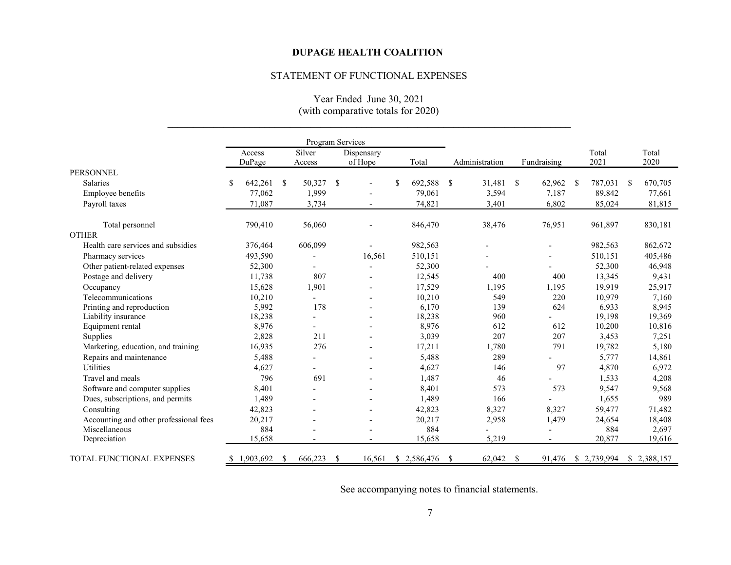# STATEMENT OF FUNCTIONAL EXPENSES

|                                        |                  |                          | Program Services |               |                |                          |                          |               |
|----------------------------------------|------------------|--------------------------|------------------|---------------|----------------|--------------------------|--------------------------|---------------|
|                                        | Access<br>DuPage | Silver                   | Dispensary       | Total         | Administration |                          | Total<br>2021            | Total<br>2020 |
| <b>PERSONNEL</b>                       |                  | Access                   | of Hope          |               |                | Fundraising              |                          |               |
| Salaries                               | 642,261<br>\$    | 50,327<br>-S             | $\mathbb{S}$     | 692,588<br>\$ | -S<br>31,481   | \$<br>62,962             | 787,031<br><sup>\$</sup> | 670,705<br>-S |
| Employee benefits                      | 77,062           | 1,999                    |                  | 79,061        | 3,594          | 7,187                    | 89,842                   | 77,661        |
| Payroll taxes                          | 71,087           | 3,734                    |                  | 74,821        | 3,401          | 6,802                    | 85,024                   | 81,815        |
|                                        |                  |                          |                  |               |                |                          |                          |               |
| Total personnel                        | 790,410          | 56,060                   |                  | 846,470       | 38,476         | 76,951                   | 961,897                  | 830,181       |
| <b>OTHER</b>                           |                  |                          |                  |               |                |                          |                          |               |
| Health care services and subsidies     | 376,464          | 606,099                  |                  | 982,563       |                |                          | 982,563                  | 862,672       |
| Pharmacy services                      | 493,590          |                          | 16,561           | 510,151       |                |                          | 510,151                  | 405,486       |
| Other patient-related expenses         | 52,300           |                          |                  | 52,300        |                |                          | 52,300                   | 46,948        |
| Postage and delivery                   | 11,738           | 807                      |                  | 12,545        | 400            | 400                      | 13,345                   | 9,431         |
| Occupancy                              | 15,628           | 1,901                    |                  | 17,529        | 1,195          | 1,195                    | 19,919                   | 25,917        |
| Telecommunications                     | 10,210           |                          |                  | 10,210        | 549            | 220                      | 10,979                   | 7,160         |
| Printing and reproduction              | 5,992            | 178                      |                  | 6,170         | 139            | 624                      | 6,933                    | 8,945         |
| Liability insurance                    | 18,238           |                          |                  | 18,238        | 960            |                          | 19,198                   | 19,369        |
| Equipment rental                       | 8,976            |                          |                  | 8,976         | 612            | 612                      | 10,200                   | 10,816        |
| Supplies                               | 2,828            | 211                      |                  | 3,039         | 207            | 207                      | 3,453                    | 7,251         |
| Marketing, education, and training     | 16,935           | 276                      |                  | 17,211        | 1,780          | 791                      | 19,782                   | 5,180         |
| Repairs and maintenance                | 5,488            | $\overline{\phantom{a}}$ |                  | 5,488         | 289            |                          | 5,777                    | 14,861        |
| <b>Utilities</b>                       | 4,627            |                          |                  | 4,627         | 146            | 97                       | 4,870                    | 6,972         |
| Travel and meals                       | 796              | 691                      |                  | 1,487         | 46             |                          | 1,533                    | 4,208         |
| Software and computer supplies         | 8,401            |                          |                  | 8,401         | 573            | 573                      | 9,547                    | 9,568         |
| Dues, subscriptions, and permits       | 1,489            |                          |                  | 1,489         | 166            |                          | 1,655                    | 989           |
| Consulting                             | 42,823           |                          |                  | 42,823        | 8,327          | 8,327                    | 59,477                   | 71,482        |
| Accounting and other professional fees | 20,217           |                          |                  | 20,217        | 2,958          | 1,479                    | 24,654                   | 18,408        |
| Miscellaneous                          | 884              |                          |                  | 884           |                |                          | 884                      | 2,697         |
| Depreciation                           | 15,658           |                          |                  | 15,658        | 5,219          | $\overline{\phantom{a}}$ | 20,877                   | 19,616        |

Year Ended June 30, 2021 (with comparative totals for 2020)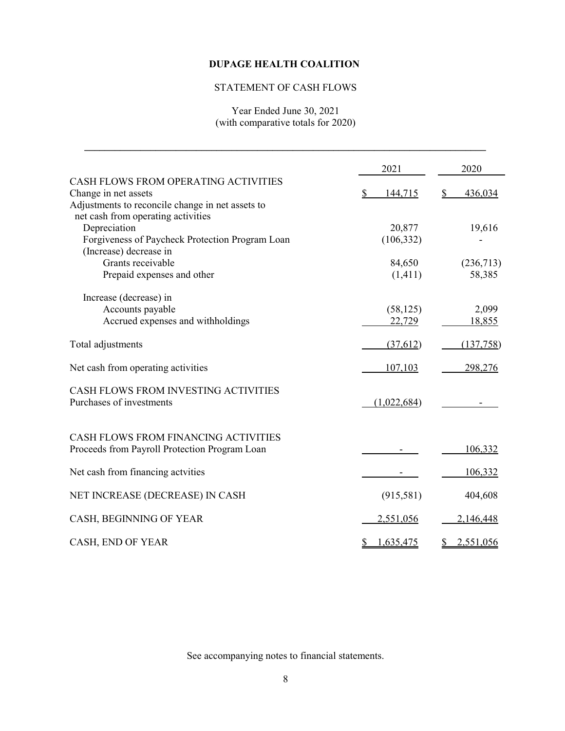# STATEMENT OF CASH FLOWS

## Year Ended June 30, 2021 (with comparative totals for 2020)

 $\mathcal{L}_\text{max}$  and  $\mathcal{L}_\text{max}$  and  $\mathcal{L}_\text{max}$  and  $\mathcal{L}_\text{max}$  and  $\mathcal{L}_\text{max}$  and  $\mathcal{L}_\text{max}$ 

|                                                  | 2021            | 2020            |
|--------------------------------------------------|-----------------|-----------------|
| CASH FLOWS FROM OPERATING ACTIVITIES             |                 |                 |
| Change in net assets                             | 144,715         | 436,034<br>S    |
| Adjustments to reconcile change in net assets to |                 |                 |
| net cash from operating activities               |                 |                 |
| Depreciation                                     | 20,877          | 19,616          |
| Forgiveness of Paycheck Protection Program Loan  | (106, 332)      |                 |
| (Increase) decrease in<br>Grants receivable      |                 |                 |
|                                                  | 84,650          | (236,713)       |
| Prepaid expenses and other                       | (1,411)         | 58,385          |
| Increase (decrease) in                           |                 |                 |
| Accounts payable                                 | (58, 125)       | 2,099           |
| Accrued expenses and withholdings                | 22,729          | 18,855          |
|                                                  |                 |                 |
| Total adjustments                                | (37,612)        | (137,758)       |
| Net cash from operating activities               | 107,103         | 298,276         |
|                                                  |                 |                 |
| CASH FLOWS FROM INVESTING ACTIVITIES             |                 |                 |
| Purchases of investments                         | (1,022,684)     |                 |
|                                                  |                 |                 |
| CASH FLOWS FROM FINANCING ACTIVITIES             |                 |                 |
| Proceeds from Payroll Protection Program Loan    |                 | 106,332         |
| Net cash from financing actvities                |                 | 106,332         |
|                                                  |                 |                 |
| NET INCREASE (DECREASE) IN CASH                  | (915,581)       | 404,608         |
| CASH, BEGINNING OF YEAR                          | 2,551,056       | 2,146,448       |
|                                                  |                 |                 |
| CASH, END OF YEAR                                | 1,635,475<br>\$ | 2,551,056<br>\$ |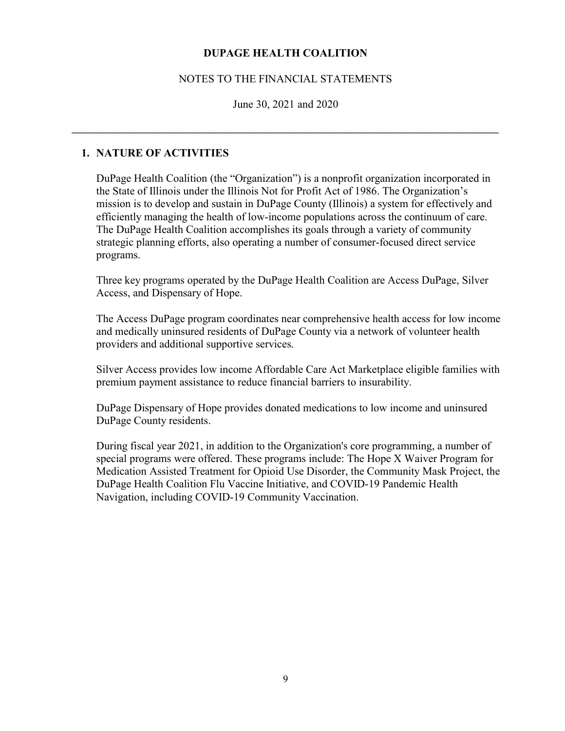# NOTES TO THE FINANCIAL STATEMENTS

June 30, 2021 and 2020

 $\_$  , and the set of the set of the set of the set of the set of the set of the set of the set of the set of the set of the set of the set of the set of the set of the set of the set of the set of the set of the set of th

# 1. NATURE OF ACTIVITIES

DuPage Health Coalition (the "Organization") is a nonprofit organization incorporated in the State of Illinois under the Illinois Not for Profit Act of 1986. The Organization's mission is to develop and sustain in DuPage County (Illinois) a system for effectively and efficiently managing the health of low-income populations across the continuum of care. The DuPage Health Coalition accomplishes its goals through a variety of community strategic planning efforts, also operating a number of consumer-focused direct service programs.

Three key programs operated by the DuPage Health Coalition are Access DuPage, Silver Access, and Dispensary of Hope.

The Access DuPage program coordinates near comprehensive health access for low income and medically uninsured residents of DuPage County via a network of volunteer health providers and additional supportive services.

Silver Access provides low income Affordable Care Act Marketplace eligible families with premium payment assistance to reduce financial barriers to insurability.

DuPage Dispensary of Hope provides donated medications to low income and uninsured DuPage County residents.

During fiscal year 2021, in addition to the Organization's core programming, a number of special programs were offered. These programs include: The Hope X Waiver Program for Medication Assisted Treatment for Opioid Use Disorder, the Community Mask Project, the DuPage Health Coalition Flu Vaccine Initiative, and COVID-19 Pandemic Health Navigation, including COVID-19 Community Vaccination.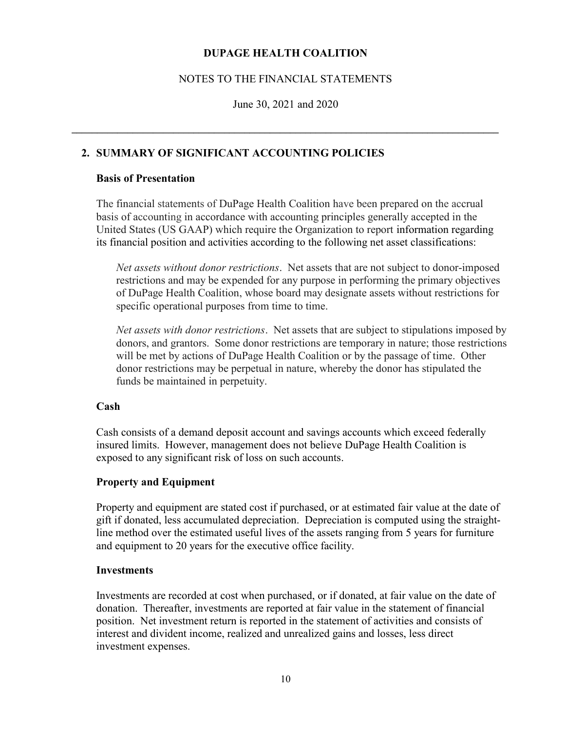# NOTES TO THE FINANCIAL STATEMENTS

June 30, 2021 and 2020

 $\_$  , and the set of the set of the set of the set of the set of the set of the set of the set of the set of the set of the set of the set of the set of the set of the set of the set of the set of the set of the set of th

# 2. SUMMARY OF SIGNIFICANT ACCOUNTING POLICIES

## Basis of Presentation

The financial statements of DuPage Health Coalition have been prepared on the accrual basis of accounting in accordance with accounting principles generally accepted in the United States (US GAAP) which require the Organization to report information regarding its financial position and activities according to the following net asset classifications:

Net assets without donor restrictions. Net assets that are not subject to donor-imposed restrictions and may be expended for any purpose in performing the primary objectives of DuPage Health Coalition, whose board may designate assets without restrictions for specific operational purposes from time to time.

Net assets with donor restrictions. Net assets that are subject to stipulations imposed by donors, and grantors. Some donor restrictions are temporary in nature; those restrictions will be met by actions of DuPage Health Coalition or by the passage of time. Other donor restrictions may be perpetual in nature, whereby the donor has stipulated the funds be maintained in perpetuity.

## Cash

Cash consists of a demand deposit account and savings accounts which exceed federally insured limits. However, management does not believe DuPage Health Coalition is exposed to any significant risk of loss on such accounts.

## Property and Equipment

Property and equipment are stated cost if purchased, or at estimated fair value at the date of gift if donated, less accumulated depreciation. Depreciation is computed using the straightline method over the estimated useful lives of the assets ranging from 5 years for furniture and equipment to 20 years for the executive office facility.

#### Investments

Investments are recorded at cost when purchased, or if donated, at fair value on the date of donation. Thereafter, investments are reported at fair value in the statement of financial position. Net investment return is reported in the statement of activities and consists of interest and divident income, realized and unrealized gains and losses, less direct investment expenses.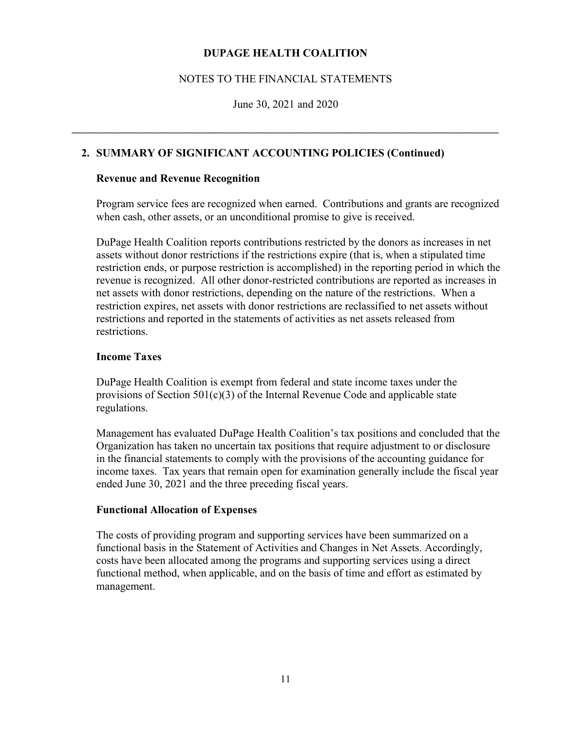# NOTES TO THE FINANCIAL STATEMENTS

June 30, 2021 and 2020

 $\_$  , and the set of the set of the set of the set of the set of the set of the set of the set of the set of the set of the set of the set of the set of the set of the set of the set of the set of the set of the set of th

# 2. SUMMARY OF SIGNIFICANT ACCOUNTING POLICIES (Continued)

#### Revenue and Revenue Recognition

Program service fees are recognized when earned. Contributions and grants are recognized when cash, other assets, or an unconditional promise to give is received.

DuPage Health Coalition reports contributions restricted by the donors as increases in net assets without donor restrictions if the restrictions expire (that is, when a stipulated time restriction ends, or purpose restriction is accomplished) in the reporting period in which the revenue is recognized. All other donor-restricted contributions are reported as increases in net assets with donor restrictions, depending on the nature of the restrictions. When a restriction expires, net assets with donor restrictions are reclassified to net assets without restrictions and reported in the statements of activities as net assets released from restrictions.

#### Income Taxes

DuPage Health Coalition is exempt from federal and state income taxes under the provisions of Section  $501(c)(3)$  of the Internal Revenue Code and applicable state regulations.

Management has evaluated DuPage Health Coalition's tax positions and concluded that the Organization has taken no uncertain tax positions that require adjustment to or disclosure in the financial statements to comply with the provisions of the accounting guidance for income taxes. Tax years that remain open for examination generally include the fiscal year ended June 30, 2021 and the three preceding fiscal years.

#### Functional Allocation of Expenses

The costs of providing program and supporting services have been summarized on a functional basis in the Statement of Activities and Changes in Net Assets. Accordingly, costs have been allocated among the programs and supporting services using a direct functional method, when applicable, and on the basis of time and effort as estimated by management.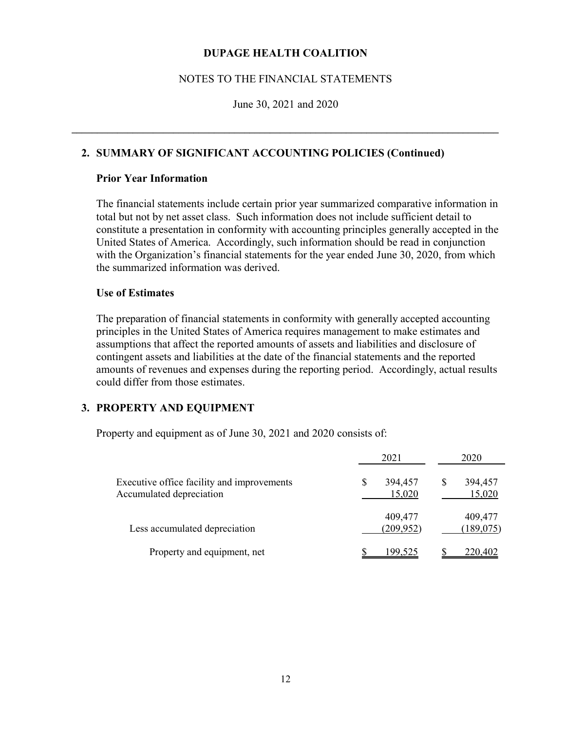# NOTES TO THE FINANCIAL STATEMENTS

June 30, 2021 and 2020

 $\_$  , and the set of the set of the set of the set of the set of the set of the set of the set of the set of the set of the set of the set of the set of the set of the set of the set of the set of the set of the set of th

# 2. SUMMARY OF SIGNIFICANT ACCOUNTING POLICIES (Continued)

#### Prior Year Information

The financial statements include certain prior year summarized comparative information in total but not by net asset class. Such information does not include sufficient detail to constitute a presentation in conformity with accounting principles generally accepted in the United States of America. Accordingly, such information should be read in conjunction with the Organization's financial statements for the year ended June 30, 2020, from which the summarized information was derived.

#### Use of Estimates

The preparation of financial statements in conformity with generally accepted accounting principles in the United States of America requires management to make estimates and assumptions that affect the reported amounts of assets and liabilities and disclosure of contingent assets and liabilities at the date of the financial statements and the reported amounts of revenues and expenses during the reporting period. Accordingly, actual results could differ from those estimates.

## 3. PROPERTY AND EQUIPMENT

Property and equipment as of June 30, 2021 and 2020 consists of:

|                                                                        |   | 2021                  |   | 2020                  |
|------------------------------------------------------------------------|---|-----------------------|---|-----------------------|
| Executive office facility and improvements<br>Accumulated depreciation | S | 394,457<br>15,020     | S | 394,457<br>15,020     |
| Less accumulated depreciation                                          |   | 409,477<br>(209, 952) |   | 409,477<br>(189, 075) |
| Property and equipment, net                                            |   | 199,525               |   | 220,402               |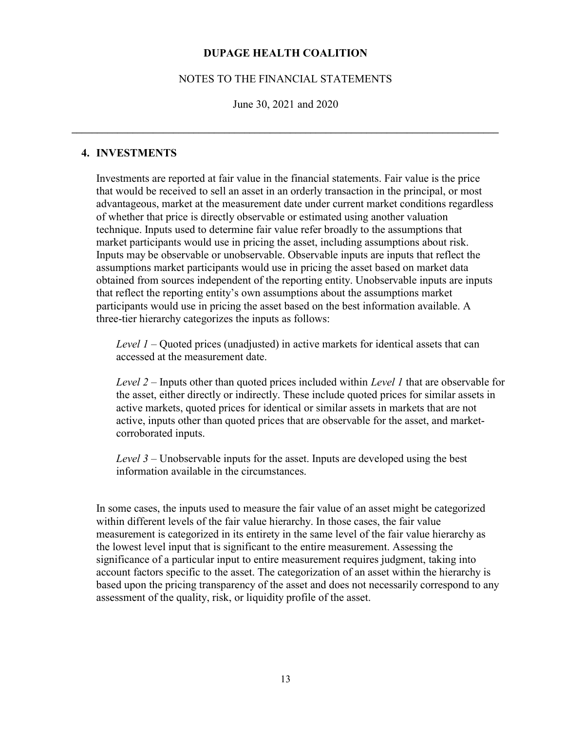#### NOTES TO THE FINANCIAL STATEMENTS

June 30, 2021 and 2020

 $\_$  , and the set of the set of the set of the set of the set of the set of the set of the set of the set of the set of the set of the set of the set of the set of the set of the set of the set of the set of the set of th

#### 4. INVESTMENTS

Investments are reported at fair value in the financial statements. Fair value is the price that would be received to sell an asset in an orderly transaction in the principal, or most advantageous, market at the measurement date under current market conditions regardless of whether that price is directly observable or estimated using another valuation technique. Inputs used to determine fair value refer broadly to the assumptions that market participants would use in pricing the asset, including assumptions about risk. Inputs may be observable or unobservable. Observable inputs are inputs that reflect the assumptions market participants would use in pricing the asset based on market data obtained from sources independent of the reporting entity. Unobservable inputs are inputs that reflect the reporting entity's own assumptions about the assumptions market participants would use in pricing the asset based on the best information available. A three-tier hierarchy categorizes the inputs as follows:

Level  $1$  – Quoted prices (unadjusted) in active markets for identical assets that can accessed at the measurement date.

Level 2 – Inputs other than quoted prices included within Level 1 that are observable for the asset, either directly or indirectly. These include quoted prices for similar assets in active markets, quoted prices for identical or similar assets in markets that are not active, inputs other than quoted prices that are observable for the asset, and marketcorroborated inputs.

Level 3 – Unobservable inputs for the asset. Inputs are developed using the best information available in the circumstances.

In some cases, the inputs used to measure the fair value of an asset might be categorized within different levels of the fair value hierarchy. In those cases, the fair value measurement is categorized in its entirety in the same level of the fair value hierarchy as the lowest level input that is significant to the entire measurement. Assessing the significance of a particular input to entire measurement requires judgment, taking into account factors specific to the asset. The categorization of an asset within the hierarchy is based upon the pricing transparency of the asset and does not necessarily correspond to any assessment of the quality, risk, or liquidity profile of the asset.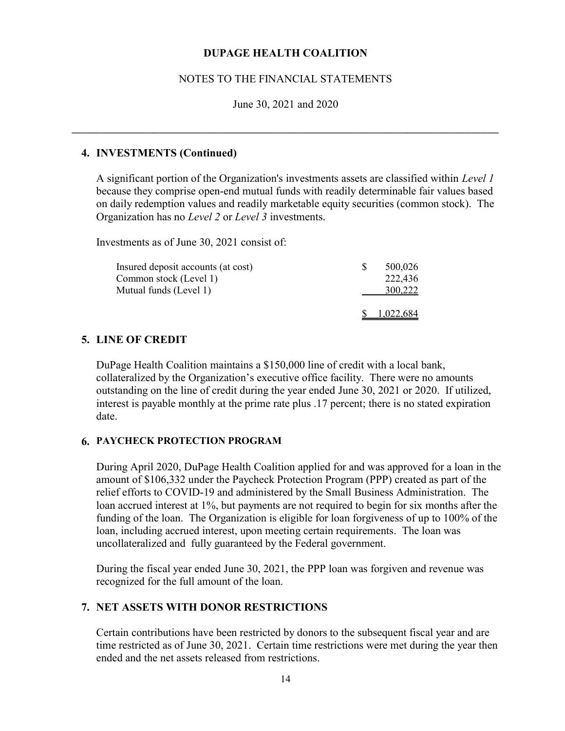# NOTES TO THE FINANCIAL STATEMENTS

June 30, 2021 and 2020

 $\_$  , and the set of the set of the set of the set of the set of the set of the set of the set of the set of the set of the set of the set of the set of the set of the set of the set of the set of the set of the set of th

# 4. INVESTMENTS (Continued)

A significant portion of the Organization's investments assets are classified within Level 1 because they comprise open-end mutual funds with readily determinable fair values based on daily redemption values and readily marketable equity securities (common stock). The Organization has no Level 2 or Level 3 investments.

Investments as of June 30, 2021 consist of:

| Insured deposit accounts (at cost) | 500,026   |
|------------------------------------|-----------|
| Common stock (Level 1)             | 222,436   |
| Mutual funds (Level 1)             | 300,222   |
|                                    | 1.022.684 |

# 5. LINE OF CREDIT

DuPage Health Coalition maintains a \$150,000 line of credit with a local bank, collateralized by the Organization's executive office facility. There were no amounts outstanding on the line of credit during the year ended June 30, 2021 or 2020. If utilized, interest is payable monthly at the prime rate plus .17 percent; there is no stated expiration date.

## 6. PAYCHECK PROTECTION PROGRAM

During April 2020, DuPage Health Coalition applied for and was approved for a loan in the amount of \$106,332 under the Paycheck Protection Program (PPP) created as part of the relief efforts to COVID-19 and administered by the Small Business Administration. The loan accrued interest at 1%, but payments are not required to begin for six months after the funding of the loan. The Organization is eligible for loan forgiveness of up to 100% of the loan, including accrued interest, upon meeting certain requirements. The loan was uncollateralized and fully guaranteed by the Federal government.

During the fiscal year ended June 30, 2021, the PPP loan was forgiven and revenue was recognized for the full amount of the loan.

## 7. NET ASSETS WITH DONOR RESTRICTIONS

Certain contributions have been restricted by donors to the subsequent fiscal year and are time restricted as of June 30, 2021. Certain time restrictions were met during the year then ended and the net assets released from restrictions.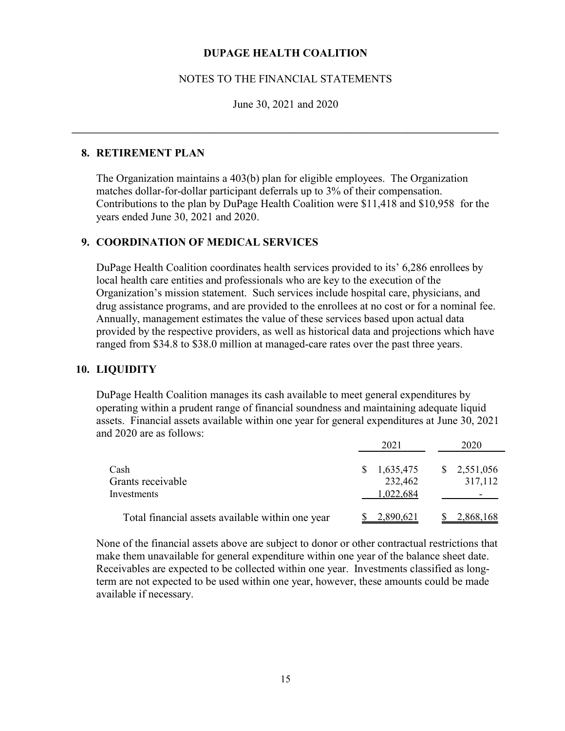# NOTES TO THE FINANCIAL STATEMENTS

June 30, 2021 and 2020

 $\_$  , and the set of the set of the set of the set of the set of the set of the set of the set of the set of the set of the set of the set of the set of the set of the set of the set of the set of the set of the set of th

# 8. RETIREMENT PLAN

The Organization maintains a 403(b) plan for eligible employees. The Organization matches dollar-for-dollar participant deferrals up to 3% of their compensation. Contributions to the plan by DuPage Health Coalition were \$11,418 and \$10,958 for the years ended June 30, 2021 and 2020.

## 9. COORDINATION OF MEDICAL SERVICES

DuPage Health Coalition coordinates health services provided to its' 6,286 enrollees by local health care entities and professionals who are key to the execution of the Organization's mission statement. Such services include hospital care, physicians, and drug assistance programs, and are provided to the enrollees at no cost or for a nominal fee. Annually, management estimates the value of these services based upon actual data provided by the respective providers, as well as historical data and projections which have ranged from \$34.8 to \$38.0 million at managed-care rates over the past three years.

## 10. LIQUIDITY

DuPage Health Coalition manages its cash available to meet general expenditures by operating within a prudent range of financial soundness and maintaining adequate liquid assets. Financial assets available within one year for general expenditures at June 30, 2021 and 2020 are as follows:

|                                                  | 2021      | 2020                   |
|--------------------------------------------------|-----------|------------------------|
| Cash                                             | 1,635,475 | $\frac{\$}{2,551,056}$ |
| Grants receivable                                | 232,462   | 317,112                |
| Investments                                      | 1,022,684 |                        |
| Total financial assets available within one year | 2,890,621 | 2,868,168              |

None of the financial assets above are subject to donor or other contractual restrictions that make them unavailable for general expenditure within one year of the balance sheet date. Receivables are expected to be collected within one year. Investments classified as longterm are not expected to be used within one year, however, these amounts could be made available if necessary.